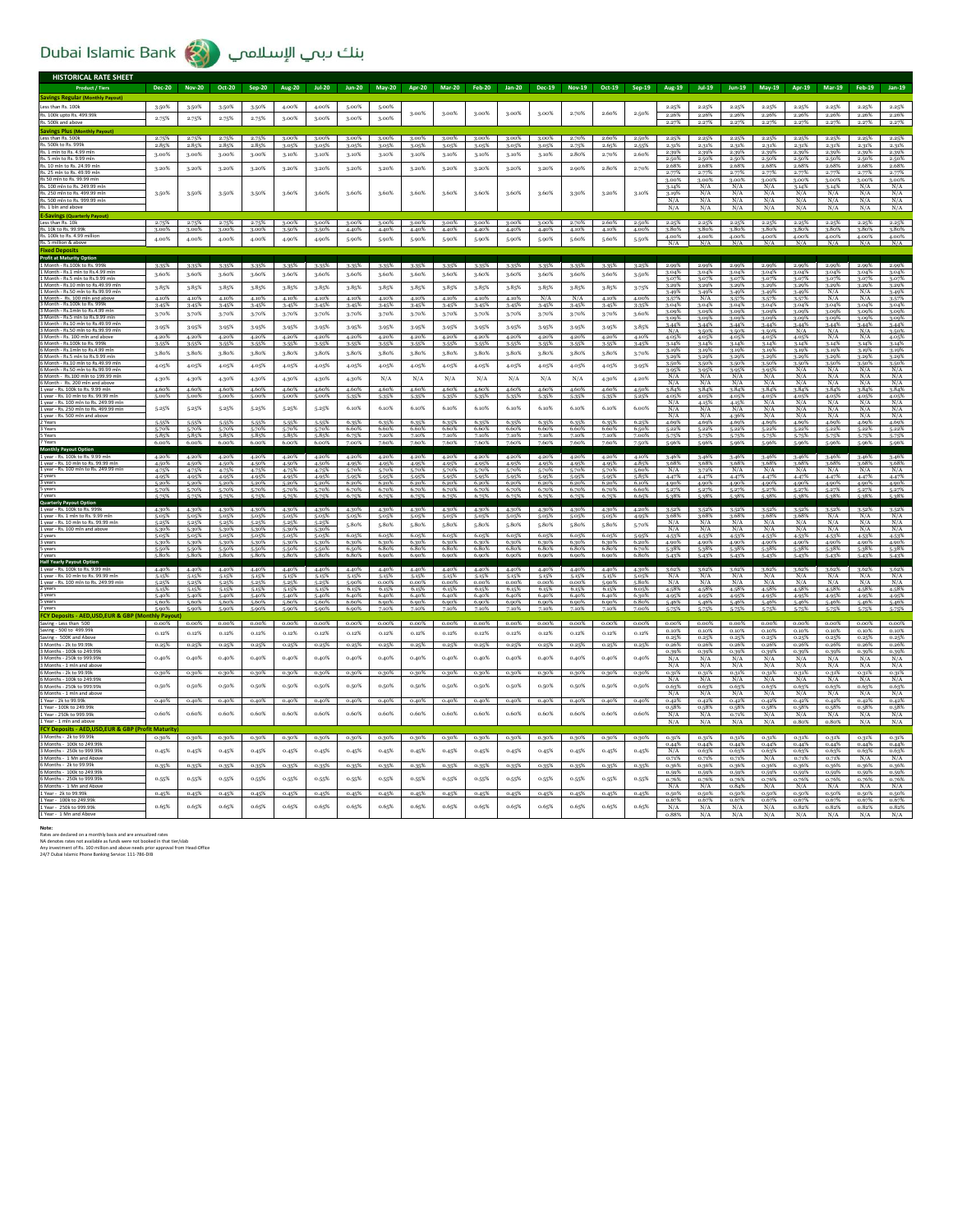## Dubai Islamic Bank بنك دبمي الإسلامي

| <b>HISTORICAL RATE SHEET</b>                                                |                        |                            |                |                   |                   |                         |                |                         |                         |                         |                |                         |                         |                         |                         |                |                    |                         |                         |                         |                         |                      |                         |                                |
|-----------------------------------------------------------------------------|------------------------|----------------------------|----------------|-------------------|-------------------|-------------------------|----------------|-------------------------|-------------------------|-------------------------|----------------|-------------------------|-------------------------|-------------------------|-------------------------|----------------|--------------------|-------------------------|-------------------------|-------------------------|-------------------------|----------------------|-------------------------|--------------------------------|
| <b>Product / Tiers</b>                                                      | <b>Dec-20</b>          | <b>Nov-20</b>              | Oct-20         | Sep-20            | <b>Aug-20</b>     | $Jul-20$                | <b>Jun-20</b>  | <b>May-20</b>           | <b>Apr-20</b>           | <b>Mar-20</b>           | <b>Feb-20</b>  | <b>Jan-20</b>           | <b>Dec-19</b>           | <b>Nov-19</b>           | Oct-19                  | Sep-19         | Aug-19             | $Jul-19$                | <b>Jun-19</b>           | May-19                  | Apr-19                  | <b>Mar-19</b>        | <b>Feb-19</b>           | <b>Jan-19</b>                  |
| <b>Savings Regular (M</b>                                                   |                        |                            |                |                   |                   |                         |                |                         |                         |                         |                |                         |                         |                         |                         |                |                    |                         |                         |                         |                         |                      |                         |                                |
| Less than Rs. 100k                                                          | 3.50%                  | 3.50%                      | 3.50%          | 3-50%             | 4.00%             | 4.00%                   | 5.00%          | 5.00%                   | 3.00%                   | 3.00%                   | 3.00%          | 3.00%                   | 3.00%                   | 2.70%                   | 2.60%                   | 2.50%          | 2.25%              | 2.25%                   | 2.25%                   | 2.25%                   | 2.25%                   | 2.25%                | 2.25%                   | 2.25%                          |
| Rs. 100k upto Rs. 499.99k<br>Rs. 500k and abov                              | 2.75%                  | 2.75%                      | 2.75%          | 2.75%             | 3.00%             | 3.00%                   | 3.00%          | 3.00%                   |                         |                         |                |                         |                         |                         |                         |                | 2.26%<br>2.27%     | 2.26%<br>2.27%          | 2.26%<br>2.27%          | 2.26%<br>2.27%          | 2.26%<br>2.27%          | 2.26%<br>2.27%       | 2.26%<br>2.27%          | 2.26%<br>2.27%                 |
| <b>Savings Plus (Monthly Payout</b>                                         |                        |                            |                |                   |                   |                         |                |                         |                         |                         |                |                         |                         |                         |                         |                |                    |                         |                         |                         |                         |                      |                         |                                |
| Less than Rs. 500k<br>Rs. 500k to Rs. 999k                                  | 2.75%<br>2.85%         | 2.75%<br>2.85%             | 2.75%<br>2.85% | 2.75%<br>2.85%    | 3.00%<br>3.05%    | 3.00%<br>3.05%          | 3.00%<br>3.05% | 3.00%<br>3.05%          | 3.00%<br>3.05%          | 3.00%<br>3.05%          | 3.00%<br>3.05% | 3.00%<br>3.05%          | 3.00%<br>3.05%          | 2.70%<br>2.75%          | 2.60%<br>2.65%          | 2.50%<br>2.55% | 2.25%<br>2.31%     | 2.25%<br>2.31%          | 2.25%<br>2.31%          | 2.25%<br>2.31%          | 2.25%<br>2.31%          | 2.25%<br>2.31%       | 2.25%<br>2.31%          | 2.25%<br>2.31%                 |
| Rs. 1 mln to Rs. 4.99 mln                                                   | 3.00%                  | 3.00%                      | 3.00%          | 3.00%             | 3.10%             | 3.10%                   | 3.10%          | 3.10%                   | 3.10%                   | 3.10%                   | 3.10%          | 3.10%                   | 3.10%                   | 2.80%                   | 2.70%                   | 2.60%          | 2.39%              | 2.39%                   | 2.39%                   | 2.39%                   | 2.39%                   | 2.39%                | 2.39%                   | 2.39%                          |
| Rs. 5 mln to Rs. 9.99 ml<br>Rs. 10 mln to Rs. 24.99 mln                     |                        |                            |                |                   |                   |                         |                |                         |                         |                         |                |                         |                         |                         |                         |                | 2.50%<br>2.68%     | 2.50%<br>2.68%          | 2.50%<br>2.68%          | 2.50%<br>2.68%          | 2.50%<br>2.68%          | 2.50%<br>2.68%       | 2.50%<br>2.68%          | 2.50%<br>2.68%                 |
| Rs. 25 mln to Rs. 49.99 mln                                                 | 3.20%                  | 3.20%                      | 3.20%          | 3.20%             | 3.20%             | 3.20%                   | 3.20%          | 3.20%                   | 3.20%                   | 3.20%                   | 3.20%          | 3.20%                   | 3.20%                   | 2.90%                   | 2.80%                   | 2.70%          | 2.77%              | 2.77%                   | 2.77%                   |                         | 2.77%                   | 2.77%                | 2.77%                   |                                |
| Rs 50 mln to Rs. 99.99 ml<br>Rs. 100 mln to Rs. 249.99 mln                  |                        |                            |                |                   |                   |                         |                |                         |                         |                         |                |                         |                         |                         |                         |                | 3.00%<br>3.14%     | 3.00%<br>N/A            | 3.00%<br>N/A            | 3.00%<br>N/A            | 3.00%<br>3.14%          | 3.00%<br>3.14%       | 3.00%<br>N/A            | $\frac{2.77\%}{3.00\%}$<br>N/A |
| Rs. 250 mln to Rs. 499.99 mln                                               | 3.50%                  | 3.50%                      | 3.50%          | 3-50%             | 3.60%             | 3.60%                   | 3.60%          | 3.60%                   | 3.60%                   | 3.60%                   | 3.60%          | 3.60%                   | 3.60%                   | 3-30%                   | 3.20%                   | 3.10%          | 3.19%              | N/A                     | N/A                     | N/A                     | N/A                     | N/A                  | N/A                     | N/A                            |
| Rs. 500 mln to Rs. 999.99 mln<br>Rs. 1 bln and above                        |                        |                            |                |                   |                   |                         |                |                         |                         |                         |                |                         |                         |                         |                         |                | N/A<br>N/A         | N/A<br>N/A              | N/A<br>N/A              | N/A<br>N/A              | N/A<br>N/A              | N/A<br>N/A           | N/A<br>N/A              | $\frac{N/A}{N/A}$              |
| <b>E-Savings (Quarterly Payout)</b>                                         |                        |                            |                |                   |                   |                         |                |                         |                         |                         |                |                         |                         |                         |                         |                |                    |                         |                         |                         |                         |                      |                         |                                |
| Less than Rs. 10k                                                           | 2.75%                  | 2.75%                      | 2.75%          |                   | 2.75% 3.00% 3.00% |                         | 3.00%          | 3.00%                   | 3.00%                   | 3.00%                   | 3.00%          | 3.00%                   | 3.00%                   | 2.70%                   | 2.60%                   | 2.50%          | 2.25%              | $\frac{2.25\%}{3.80\%}$ | $\frac{2.25\%}{3.80\%}$ | $\frac{2.25\%}{3.80\%}$ | $\frac{2.25\%}{3.80\%}$ | 2.25%                | $\frac{2.25\%}{3.80\%}$ | $\frac{2.25\%}{3.80\%}$        |
| Rs. 10k to Rs. 99.99<br>Rs. 100k to Rs. 4.99 million                        | 3.00%<br>4.00%         | 3.00%<br>4.00%             | 3.00%<br>4.00% | 3.00%<br>4.00%    | 3.50%<br>4.90%    | 3.50%<br>4.90%          | 4.40%<br>5-90% | 4.40%<br>5.90%          | 4.40%<br>5.90%          | 4.40%<br>5.90%          | 4.40%<br>5.90% | 4.40%<br>5.90%          | 4.40%<br>5.90%          | 4.10%<br>5.60%          | 4.10%<br>5.60%          | 4.00%<br>5.50% | 3.80%<br>4.00%     | 4.00%                   | 4.00%                   | 4.00%                   | 4.00%                   | 3.80%<br>4.00%       | 4.00%                   | 4.00%                          |
| Rs. 5 million & abov                                                        |                        |                            |                |                   |                   |                         |                |                         |                         |                         |                |                         |                         |                         |                         |                | N/A                |                         | N/A                     | N/A                     |                         |                      |                         | N/A                            |
| <b>Fived Der</b><br><b>Profit at Maturity Option</b>                        |                        |                            |                |                   |                   |                         |                |                         |                         |                         |                |                         |                         |                         |                         |                |                    |                         |                         |                         |                         |                      |                         |                                |
| 1 Month - Rs.100k to Rs. 999k                                               | $3.35\%$               | $3 - 35%$                  | $3.35\%$       | 3-35%             | $3-35%$           | 3.35%                   | 3.35%          | 3.35%                   | 3.35%                   | 3.35%                   | 3.35%          | 3-35%                   | $3-35%$                 | $3.35\%$                | 3-35%                   | 3.25%          | 2.99%              | 2.99%                   | 2.99%                   | $2.99\%$                | 2.99%                   | 2.99%                | 2.99%                   | 2.99%                          |
| 1 Month - Rs.1 mln to Rs.4.99 ml<br>1 Month - Rs.5 mln to Rs.9.99 ml        | 3.60%                  | 3,60%                      | 3.60%          | 3.60%             | 3.60%             | 3,60%                   | 3,60%          | 3.60%                   | 3.60%                   | 3.60%                   | 3.60%          | 3.60%                   | 3,60%                   | 3,60%                   | 3.60%                   | 3.50%          | 3.04%<br>3.07%     | 3.04%<br>3.07%          | 3.04%<br>3.07%          | 3.04%<br>3.07%          | 3.04%<br>3.07%          | 3.04%<br>3.079       | 3.04%<br>3.07%          | 3.04%<br>3.07%                 |
| 1 Month - Rs.10 mln to Rs.49.99 mln<br>Month - Rs.50 mln to Rs.99.99 ml     | 3.85%                  | 3.85%                      | 3.85%          | 3-85%             | 3.85%             | 3.85%                   | 3.85%          | 3.85%                   | 3.85%                   | 3.85%                   | 3.85%          | 3.85%                   | 3.85%                   | 3.85%                   | 3-85%                   | 3.75%          | 3.29%              | 3.29%                   | 3.29%                   | 3.29%                   | 3.29%                   | 3.29%                | 3.29%                   | 3.29%                          |
| 1 Month - Rs 100 mln and above                                              | 4.10%                  | 4.10%                      | 4.10%          | 4.10%             | 4.10%             | 4.10%                   | 4.10%          | 4.10%                   | 4.10%                   | 4.10%                   | 4.10%          | 4.10%                   | N/A                     | N/A                     | 4.10%                   | 4.00%          | 3.49%<br>$3 - 57%$ | 3.49%<br>N/A            | 3.49%<br>3.57%          | 3.49%<br>3-57%          | 3.49%<br>3-57%          | N/A<br>N/A           | N/A<br>N/A              | 3.49%<br>3.57%                 |
| 3 Month - Rs.100k to Rs. 999<br>3 Month - Rs.1mln to Rs.4.99 ml             | 3.45%                  | $3 - 45%$                  | 3.45%          | 3.45%             | 3-45%             | 3.45%                   | 3.45%          | 3.45%                   | 3.45%                   | 3.45%                   | 3.45%          | 3.45%                   | 3.45%                   | 3.45%                   | 3.45%                   | 3.35%          | 3.04%<br>3.09%     | 3.04%<br>3.09%          | 3.04%<br>3.09%          | 3.04%<br>3.09%          | 3.04%<br>3.09%          | 3.04%<br>3.099       | 3.04%<br>3.09%          | 3.04%<br>3.09%                 |
| 3 Month - Rs.5 mln to Rs.9.99 ml                                            | 3.70%                  | 3.70%                      | 3.70%          | 3-70%             | 3.70%             | 3.70%                   | 3.70%          | 3.70%                   | 3.70%                   | 3.70%                   | 3.70%          | 3-70%                   | 3.70%                   | 3.70%                   | 3-70%                   | 3.60%          | 3.09%              | 3.09%                   | 3.09%                   | 3.09%                   | 3.09%                   | 3.09%                | 3.09%                   | 3.09%                          |
| 3 Month - Rs.10 mln to Rs.49.99 m<br>3 Month - Rs 50 mln to Rs 99 99 m      | 3.95%                  | 3.95%                      | 3.95%          | 3.95%             | 3-95%             | 3.95%                   | 3.95%          | 3.95%                   | 3-95%                   | 3.95%                   | 3.95%          | 3.95%                   | 3-95%                   | 3.95%                   | 3.95%                   | 3.85%          | 3.44%<br>N/A       | 3.44%<br>3.50%          | 3.44%<br>3-50%          | 3.44%<br>3.50%          | 3.44%<br>N/A            | 3.44%<br>N/A         | 3-44%                   | 3.44%<br>3.50%                 |
| 3 Month - Rs. 100 mln and above                                             | 4.20%                  | 4.20%                      | 4.20%          | 4.20%             | 4.20%             | 4.20%                   | 4.20%          | 4.20%                   | 4.20%                   | 4.20%                   | 4.20%          | 4.20%                   | 4.20%                   | 4.20%                   | 4.20%                   | 4.10%          | 4.05%              | 4.05%                   | 4.05%                   | 4.05%                   | 4.05%                   | N/A                  | N/A                     | 4.05%                          |
| 6 Month - Rs.100k to Rs. 999k<br>6 Month - Rs 1 mln to Rs 4 99 ml           | 3.55%<br>3.80%         | 3-55%<br>3.80%             | 3.55%<br>3.80% | 3.55%<br>3.80%    | 3-55%<br>3.80%    | 3.55%<br>3.80%          | 3.55%<br>3.80% | 3.55%<br>3.80%          | 3-55%<br>3.80%          | 3.55%<br>3.80%          | 3.55%<br>3.80% | 3.55%<br>3.80%          | 3-55%<br>3.80%          | 3.55%<br>3.80%          | 3.55%<br>3.80%          | 3.45%          | 3.14%<br>2.10%     | 3.14%<br>2.10%          | 3.14%<br>2.10%          | 3.14%<br>2.10%          | 3.14%<br>3.19%          | 3.14%<br>2.10%       | 3.14%<br>2.10%          | 3.14%<br>3.19%                 |
| 6 Month - Rs.5 mln to Rs.9.99<br>6 Month - Rs.10 mln to Rs.49.99 ml         |                        |                            |                |                   |                   |                         |                |                         |                         |                         |                |                         |                         |                         |                         | 3.70%          | 3.29%              | 3.29%                   | 3.29%                   | 3.29%                   | 3.29%                   | 3.29%                | 3.29%                   | 3.29%                          |
| 6 Month - Rs.50 mln to Rs.99.99 mln                                         | 4.05%                  | 4.05%                      | 4.05%          | 4.05%             | 4.05%             | 4.05%                   | 4.05%          | 4.05%                   | 4.05%                   | 4.05%                   | 4.05%          | 4.05%                   | 4.05%                   | 4.05%                   | 4.05%                   | 3.95%          | 3.50%<br>3-95%     | 3.50%<br>3.95%          | 3-50%<br>3.95%          | 3.50%<br>3-95%          | 3.50%<br>N/A            | 3.50%<br>N/A         | 3-50%<br>N/A            | 3.50%<br>N/A                   |
| 6 Month - Rs.100 mln to 199.99                                              | 4.30%                  | 4.30%                      | 4.30%          | 4.30%             | 4.30%             | 4.30%                   | 4.30%          | N/A                     | N/A                     | N/A                     | N/A            | N/A                     | N/A                     | N/A                     | $4.30\%$                | 4.20%          | N/A<br>N/A         | N/A<br>N/A              | N/A<br>N/A              | N/A<br>N/A              | N/A<br>N/A              | N/A<br>N/A           | N/A<br>N/A              | N/A                            |
| 1 year - Rs. 100k to Rs. 9.99 mln                                           | 4.60%                  | 4.60%                      | 4.60%          | 4.60%             | 4.60%             | 4.60%                   | 4.60%          | 4.60%                   | 4.60%                   | 4.60%                   | 4.60%          | 4.60%                   | 4.60%                   | 4.60%                   | 4.60%                   | 4.50%          | 3.84%              | 3.84%                   | 3.84%                   | 3.84%                   | 3.84%                   | 3.84%                | 3.84%                   | N/A<br>3.84%                   |
| 1 year - Rs. 10 mln to Rs. 99.99 r<br>1 year - Rs. 100 mln to Rs. 249.99 ml | 5.00%                  | 5.00%                      | 5.00%          | 5.00%             | 5.00%             | 5.00%                   | 5-35%          | 5-35%                   | 5-35%                   | 5.35%                   | 5-35%          | 5-35%                   | 5-35%                   | 5-35%                   | 5-35%                   | 5.25%          | 4.05%<br>N/A       | 4.05%<br>4.15%          | 4.059<br>4.15%          | 4.05%<br>N/A            | 4.05%<br>N/A            | 4.05<br>N/A          | 4.05%<br>N/A            | $\frac{4.05\%}{N/A}$           |
| 1 year - Rs. 250 mln to Rs. 499.99 r                                        | 5.25%                  | 5.25%                      | 5.25%          | 5-25%             | 5.25%             | 5.25%                   | 6.10%          | 6.10%                   | 6.10%                   | 6.10%                   | 6.10%          | 6.10%                   | 6.10%                   | 6.10%                   | 6.10%                   | 6.00%          | N/A                | N/A                     | N/A                     | N/A                     | N/A                     | N/A                  | N/A                     | N/A                            |
| 1 year - Rs. 500 mln and abov<br>2 Years                                    | 5.55%                  | 5.55%                      | 5-55%          | 5-55%             | 5-55%             | 5.55%                   | 6.35%          | 6.35%                   | 6.35%                   | 6.35%                   | 6.35%          | 6.35%                   | 6.35%                   | 6.35%                   | 6.35%                   | 6.25%          | N/A<br>4.69%       | N/A<br>4.69%            | 4.36%<br>4.69%          | N/A<br>4.69%            | N/A<br>4.69%            | N/A<br>4.69%         | N/A<br>4.69%            | N/A<br>4.69%                   |
| 3 Years                                                                     | 5.70%                  | 5.70%                      | 5-70%          | 5.70%             | 5.70%             | 5.70%                   | 6.60%          | 6.60%                   | 6.60%                   | 6.60%                   | 6.60%          | 6.60%                   | 6.60%                   | 6.60%                   | 6.60%                   | 6.50%          | 5.22%              | 5.22%                   | 5.22%                   | 5.22%                   | 5.22%                   | 5.22%                | $5.22\%$                | 5.22%                          |
| S Years<br>7 Years                                                          | 5.85%<br>6.00%         | 5.85%<br>6.00%             | 5.85%<br>6.00% | 5.85%<br>6.00%    | 5.85%<br>6.00%    | 5.85%<br>6.00%          | 6.75%<br>7.00% | 7.10%<br>7.60%          | 7.10%<br>7.60%          | 7.10%<br>7.60%          | 7.10%<br>7.60% | 7.10%<br>7.60%          | 7.10%<br>7.60%          | 7.10%<br>7.60%          | 7.10%<br>7.60%          | 7.00%<br>7.50% | 5-75%<br>5.96%     | 5.96%                   | 5.75%<br>5.96%          | 5-75%<br>5.96%          | 5.75%<br>5.96%          | 5.75%<br>5.96%       | 5.75%<br>5.96%          | 5-75%<br>5.96%                 |
| <b>Monthly Payout Option</b>                                                |                        |                            |                |                   |                   |                         |                |                         |                         |                         |                |                         |                         |                         |                         |                |                    |                         |                         |                         |                         |                      |                         |                                |
| 1 year - Rs. 100k to Rs. 9.99 ml<br>1 year - Rs. 10 mln to Rs. 99.99 mln    | 4.20%<br>4.50%         | 4.20%<br>4.50%             | 4.20%<br>4.50% | 4.20%<br>4.50%    | 4.20%<br>4.50%    | 4.20%<br>4.50%          | 4.20%<br>4.959 | 4.20%<br>4.95%          | 4.20%<br>4.95%          | 4.20%<br>4.95%          | 4.20%<br>4.95% | 4.20%<br>4.95%          | 4.20%<br>4.95%          | 4.20%<br>4.95%          | 4.20%<br>4.95%          | 4.10%<br>4.85% | 3.46%<br>3.68%     | 3.46%<br>3.68%          | 3.46%<br>3.68%          | 3.46%<br>3.68%          | 3.46%                   | 3.46%                | 3.46%<br>3.68%          | 3.46%<br>3.68%                 |
| 1 year - Rs. 100 mln to Rs. 249.99 mln                                      | 4.75%                  | 4.75%                      | 4.75%          | 4.75%             | 4.75%             | 4.75%                   | 5.70%          | 5.70%                   | 5.70%                   | 5.70%                   | 5.70%          | 5.70%                   | 5.70%                   | 5.70%                   | 5.70%                   | 5.60%          | N/A                | 3.72%                   | N/A                     | N/A                     | N/A                     | N/A                  | N/A                     | N/A                            |
| 2 years<br>3 years                                                          | 4.95%<br>5.20%         | 4.95%<br>5.20%             | 4.95%<br>5.20% | 4.95%<br>5.20%    | 4.95%<br>5.20%    | 4.95%<br>5.20%          | 5.95%<br>6.20% | 5-95%<br>6.20%          | 5.95%<br>6.20%          | 5.95%<br>6.20%          | 5.95%<br>6.20% | 5-95%<br>6.20%          | 5.95%<br>6.20%          | 5.95%<br>6.20%          | 5-95%<br>6.20%          | 5.85%<br>6.10% | 4.47%<br>4.90%     | 4.47%<br>4.90%          | 4.47%<br>4.90%          | 4.47%<br>4.90%          | 4.47%<br>4.90%          | 4.47%<br>4.90%       | 4.47%<br>4.90%          | 4.47%<br>4.90%                 |
| 5 years                                                                     | 5.70%                  | 5.70%                      | 5.70%<br>5.75% | 5.70%<br>5.75%    | 5.70%             | 5.70%                   | 6.70%<br>675%  | 6.70%<br>6.75%          | 6.70%<br>6.75%          | 6.70%<br>6.75%          | 6.70%<br>675%  | 6.70%<br>6.75%          | 6.70%<br>675%           | 6.70%<br>675%           | 6.70%<br>6.75%          | 6.60%<br>6.65% | 5.27%<br>$5.38\%$  | 5.27%<br>$5.28\%$       | 5.27%<br>5.28%          | 5.38%                   | 5.27%<br>$5.28\%$       | $5.38\%$ $5.38\%$    | 5.27%                   | 5.27%<br>5.38%                 |
| Quarterly Payo                                                              |                        |                            |                |                   |                   |                         |                |                         |                         |                         |                |                         |                         |                         |                         |                |                    |                         |                         |                         |                         |                      |                         |                                |
| 1 year - Rs. 100k to Rs. 999k<br>1 year - Rs. 1 mln to Rs. 9.99 r           | 5.05%                  | $4.30\%$ $4.30\%$<br>5.05% | 4.30%<br>5.05% | $4.30\%$<br>5.05% | 4.30%<br>5.05%    | 4.30%<br>5.05%          | 4.30%<br>5.05% | 4.30%<br>5.05%          | 4.30%<br>5.05%          | 4.30%<br>5.05%          | 4.30%<br>5.05% | 4.30%<br>5.05%          | 4.30%<br>5.05%          | 4.30%<br>5.05%          | 4.30%<br>5.05%          | 4.20%<br>4.95% | 3.52%<br>3.68%     | 3.52%<br>3.68%          | 3.52%<br>3.689          | 3.52%<br>3.68%          | 3.52%<br>3.68%          | $\frac{3.52\%}{N/A}$ | $\frac{3.52\%}{N/A}$    | $\frac{3.52\%}{N/A}$           |
| 1 year - Rs. 10 mln to Rs. 99.99 mln                                        | 5.25%                  | 5.25%                      | 5.25%          | 5.25%             | 5.25%             | 5.25%                   | 5.80%          | 5.80%                   | 5.80%                   | 5.80%                   | 5.80%          | 5.80%                   | 5.80%                   | 5.80%                   | 5.80%                   | 5.70%          | N/A                | N/A                     | N/A                     | N/A                     | N/A                     | N/A                  | N/A                     | N/A                            |
| 1 year - Rs. 100 mln and above<br>2 years                                   | 5.30%<br>5.05%         | 5,30%<br>5.05%             | 5.30%<br>5.05% | 5.30%<br>5.05%    | 5.30%<br>5.05%    | 5.30%<br>5.05%          | 6.05%          | 6.05%                   | 6.05%                   | 6.05%                   | 6.05%          | 6.05%                   | 6.05%                   | 6.05%                   | 6.05%                   | 5.95%          | N/A<br>4.53%       | N/A<br>4.53%            | N/A<br>4.53%            | N/A<br>4.53%            | N/A<br>4.53%            | N/A<br>4.53%         | N/A<br>4.53%            | N/A<br>4.53%                   |
| 3 years                                                                     | 5.30%                  | 5.30%                      | 5-30%          | 5.30%             | 5.30%             | 5.30%                   | 6.30%          | 6.30%                   | 6.30%                   | 6.30%                   | 6.30%          | 6.30%                   | 6.30%                   | 6.30%                   | 6.30%                   | 6.20%          | 4.90%              | 4.90%                   | 4.90%                   | 4.90%                   | 4.90%                   | 4.90%                | 4.90%                   | 4.90%                          |
| 5 years                                                                     | 5.50%<br>5.80%         | 5.50%<br>5.80%             | 5-50%<br>SOR   | 5.50%<br>$-80%$   | 5.50%<br>5.80%    | 5.50%                   | 6.50%<br>6.80% | 6.80%<br>6.90%          | 6.80%<br>6.90%          | 6.80%<br>6.90%          | 6.80%<br>6.90% | 6.80%<br>6.90%          | 6.80%<br>6.90%          | 6.80%<br>6.90%          | 6.80%<br>6.90%          | 6.70%<br>6.80% | 5.38%<br>5.42%     | 5-38%<br>5.42%          | 5.38%                   | 5.38%                   | 5.38%                   | 5-38%                | 5.38%                   | 5.38%<br>5.43%                 |
| <b>Half Yearly Payout Option</b>                                            |                        |                            |                |                   |                   |                         |                |                         |                         |                         |                |                         |                         |                         |                         |                |                    |                         |                         |                         |                         |                      |                         |                                |
| 1 year - Rs. 100k to Rs. 9.99 mln<br>1 year - Rs. 10 mln to Rs. 99.99 ml    | 4.40%<br>5.15%         | 4.40%<br>5.15%             | 4.40%<br>5-15% | $4.40\%$<br>5.15% | 4.40%<br>5.15%    | 4.40%<br>5.15%          | 4.40%<br>5.15% | 4.40%<br>5.15%          | 4.40%<br>5.15%          | 4.40%<br>5.15%          | 4.40%<br>5.15% | 4.40%<br>5.15%          | 4.40%<br>5.15%          | 4.40%<br>$5-15%$        | 4.40%<br>5.15%          | 4.30%<br>5.05% | 3.62%              | 3.62%<br>N/A            | 3.62%<br>N/A            | 3.62%<br>N/A            | 3.62%<br>N/A            | $3.62\%$<br>N/A      | 3.62%<br>N/A            | 3.62%<br>N/A                   |
| 1 year - Rs. 100 mln to Rs. 249.99 mln                                      | 5.25%                  | 5.25%                      | 5.25%          | 5-25%             | 5.25%             | 5.25%                   | 5.90%          | 0.00%                   | 0.00%                   | 0.00%                   | 0.00%          | 0.00%                   | 0.00%                   | 0.00%                   | 5.90%                   | 5.80%          | N/A                | N/A                     | N/A                     | N/A                     | N/A                     | N/A                  | N/A                     | N/A                            |
| 2 years<br>3 years                                                          | 5.15%<br>5.40%         | 5.15%<br>5.40%             | 5-15%<br>5.40% | 5.15%<br>5.40%    | 5.15%<br>5.40%    | 5.15%<br>5.40%          | 6.15%<br>6.40% | 6.15%<br>6.40%          | 6.15%<br>6.40%          | 6.15%<br>6.40%          | 6.15%<br>6.40% | 6.15%<br>6.40%          | 6.15%<br>6.40%          | 6.15%<br>6.40%          | 6.15%<br>6.40%          | 6.05%<br>6.30% | 4.58%<br>4.95%     | 4.58%<br>4.95%          | 4.58%<br>4.95%          | 4.58%<br>4.95%          | 4.58%<br>4.95%          | 4.58%<br>4.95%       | 4.58%<br>4.95%          | 4.58%<br>4.95%                 |
| S years                                                                     | 5.60%<br>5.90%         | 5.60%<br>5.90%             | 5.60%<br>5.90% | 5.60%<br>5.90%    | 5.60%<br>5.90%    | $\frac{5.60\%}{5.90\%}$ | 6.60%<br>6.90% | $\frac{6.90\%}{7.10\%}$ | $\frac{6.90\%}{7.10\%}$ | $\frac{6.90\%}{7.10\%}$ | 6.90%<br>7.10% | $\frac{6,90\%}{7.10\%}$ | $\frac{6.90\%}{7.10\%}$ | $\frac{6.90\%}{7.10\%}$ | $\frac{6.90\%}{7.10\%}$ | 6.80%<br>7.00% | 5.46%<br>5-75%     | 5.46%<br>5.75%          | 5.46%                   | 5.46%                   | 5.46%                   | 5.46%                | $\frac{5.46\%}{5.75\%}$ | 5.46%<br>5.75%                 |
| <b>FCY Deposits - AED, L</b>                                                | thly Payor             |                            |                |                   |                   |                         |                |                         |                         |                         |                |                         |                         |                         |                         |                |                    |                         |                         |                         |                         |                      |                         |                                |
| Saving - Less than 500<br>Saving - 500 to 499.99k                           | $0.00\%$               | $0.00\%$                   | $0.00\%$       | 0.00%             | 0.00%             | $0.00\%$                | $0.00\%$       | 0.00%                   | $0.00\%$                | $0.00\%$                | 0.00%          | 0.00%                   | 0.00%                   | $0.00\%$                | $0.00\%$                | $0.00\%$       | $0.00\%$<br>0.10%  | $0.00\%$<br>0.10%       | $0.00\%$<br>0.10%       | 0.00%                   | $0.00\%$                | $0.00\%$             | $0.00\%$                | 0.00%<br>0.10%                 |
| Saving - 500K and Abov                                                      | 0.12%                  | 0.12%                      | 0.12%          | 0.12%             | 0.12%             | 0.12%                   | 0.12%          | 0.12%                   | 0.12%                   | 0.12%                   | 0.12%          | 0.12%                   | 0.12%                   | 0.12%                   | 0.12%                   | 0.12%          | 0.25%              | 0.25%                   | 0.25%                   | 0.10%<br>0.25%          | 0.10%<br>0.25%          | 0.10%<br>0.25%       | 0.10%<br>0.25%          | 0.25%                          |
| 3 Months - 2k to 99.99k                                                     | 0.25%                  | 0.25%                      | 0.25%          | 0.25%             | 0.25%             | 0.25%                   | 0.25%          | 0.25%                   | 0.25%                   | 0.25%                   | 0.25%          | 0.25%                   | 0.25%                   | 0.25%                   | 0.25%                   | 0.25%          | 0.26%              | 0.26%                   | 0.26%                   | 0.26%                   | 0.26%                   | 0.26%                | 0.26%                   | 0.26%                          |
| 3 Months - 100k to 249.99<br>3 Months - 250k to 999.99                      | 0.40%                  | 0.40%                      | 0.40%          | 0.40%             | 0.40%             | 0.40%                   | 0.40%          | 0.40%                   | 0.40%                   | 0.40%                   | 0.40%          | 0.40%                   | 0.40%                   | 0.40%                   | 0.40%                   | 0.40%          | 0.39%<br>N/A       | 0.39%<br>N/A            | 0.39%<br>N/A            | 0.39%<br>N/A            | 0.39%<br>N/A            | 0.39%<br>N/A         | 0.39%<br>N/A            | 0.39%<br>N/A                   |
| 3 Months - 1 mln and ab                                                     |                        |                            |                |                   |                   |                         |                |                         |                         |                         |                |                         |                         |                         |                         |                | N/A                | N/A                     | N/A                     | N/A                     | N/A                     | N/A                  | N/A                     | N/A                            |
| 6 Months - 2k to 99.99<br>6 Months - 100k to 249.99                         | 0.30%                  | 0.30%                      | 0.30%          | 0.30%             | 0.30%             | 0.30%                   | 0.30%          | 0.30%                   | 0.30%                   | 0.30%                   | 0.30%          | 0.30%                   | 0.30%                   | 0.30%                   | 0.30%                   | 0.30%          | 0.31%<br>N/A       | 0.31%<br>N/A            | 0.31%<br>N/A            | 0.31%<br>N/A            | 0.31%<br>N/A            | 0.319<br>N/A         | 0.31%<br>N/A            | 0.31%<br>N/A                   |
| 6 Months - 250k to 999.99                                                   | 0.50%                  | 0.50%                      | 0.50%          | 0.50%             | 0.50%             | 0.50%                   | 0.50%          | 0.50%                   | 0.50%                   | $0.50\%$                | 0.50%          | 0.50%                   | 0.50%                   | 0.50%                   | 0.50%                   | 0.50%          | 0.63%              | 0.63%                   | 0.63%                   | 0.63%                   | 0.63%                   | 0.63%                | 0.63%                   | 0.63%                          |
| 6 Months - 1 mln and abov<br>Year - 2k to!                                  | 0.40%                  | 0.40%                      | 0.40%          | 0.40%             | 0.40%             | 0.40%                   | 0.40%          | 0.40%                   | 0.40%                   | 0.40%                   | 0.40%          | 0.40%                   | 0.40%                   | 0.40%                   | 0.40%                   | 0.40%          | N/A<br>0.42%       | N/A<br>0.42%            | N/A<br>0.42%            | N/A<br>0.42%            | N/A<br>0.42%            | N/A<br>0.42%         | N/A<br>0.42%            | N/A<br>0.42%                   |
| 1 Year - 100k to 249.99k                                                    |                        |                            |                |                   |                   |                         |                |                         |                         |                         |                |                         |                         |                         |                         |                | 0.58%              | 0.58%                   | 0.58%                   | 0.58%                   | 0.58%                   | 0.58%                | 0.58%                   | 0.58%                          |
| 1 Year - 250k to 999 99k<br>1 Year - 1 mln and ahow                         | 0.60%                  | 0.60%                      | 0.60%          | 0.60%             | 0.60%             | 0.60%                   | 0.60%          | 0.60%                   | 0.60%                   | 0.60%                   | 0.60%          | 0.60%                   | 0.60%                   | 0.60%                   | 0.60%                   | 0.60%          | N/A<br>N/A         | N/A<br>N/A              | 0.71%<br>N/A            | N/A<br>N/A              | N/A<br>0.80%            | N/A<br>0.80%         | N/A<br>$N/\Delta$       | N/A<br>N/A                     |
| <b>FCY Deposits - AED.</b>                                                  | <b>Profit Maturity</b> |                            |                |                   |                   |                         |                |                         |                         |                         |                |                         |                         |                         |                         |                |                    |                         |                         |                         |                         |                      |                         |                                |
| 3 Months - 2k to 99.99k                                                     | 0.30%                  | 0.30%                      | 0.30%          | 0.30%             | 0.30%             | $0.30\%$                | 0.30%          | 0.30%                   | 0.30%                   | 0.30%                   | 0.30%          | 0.30%                   | 0.30%                   | 0.30%                   | 0.30%                   | 0.30%          | 0.31%              | 0.31%                   | 0.31%                   | 0.31%                   | 0.31%                   | 0.31%                | 0.31%                   | 0.31%                          |
| 3 Months - 100k to 249.99<br>3 Months - 250k to 999.99k                     | 0.45%                  | 0.45%                      | 0.45%          | 0.45%             | 0.45%             | 0.45%                   | 0.45%          | 0.45%                   | 0.45%                   | 0.45%                   | 0.45%          | 0.45%                   | 0.45%                   | 0.45%                   | 0.45%                   | 0.45%          | 0.44%<br>N/A       | 0.44%<br>0.63%          | 0.44%<br>0.63%          | 0.44%<br>0.63%          | 0.44%<br>0.63%          | 0.44%<br>0.63%       | 0.44%<br>0.63%          | 0.44%<br>0.63%                 |
| 3 Months - 1 Mn and Abo                                                     |                        |                            |                |                   |                   |                         |                |                         |                         |                         |                |                         |                         |                         |                         |                | 0.71%              | 0.71%                   | 0.71%                   | N/A                     | 0.71%                   | 0.71%                | N/A                     | N/A                            |
| 6 Months - 2k to 99.99<br>6 Months - 100k to 249 99                         | 0.35%                  | 0.35%                      | 0.35%          | 0.35%             | 0.35%             | 0.35%                   | 0.35%          | 0.35%                   | 0.35%                   | 0.35%                   | 0.35%          | 0.35%                   | 0.35%                   | 0.35%                   | 0.35%                   | 0.35%          | 0.36%<br>0.59%     | 0.36%<br>0.59%          | 0.36%<br>0.59%          | 0.36%<br>0.59%          | 0.369<br>0.59%          | 0.369<br>0.59%       | 0.36%<br>0.59%          | 0.36%<br>0.59%                 |
| 6 Months - 250k to 999 99k                                                  | 0.55%                  | 0.55%                      | 0.55%          | 0.55%             | 0.55%             | 0.55%                   | 0.55%          | 0.55%                   | 0.55%                   | 0.55%                   | 0.55%          | 0.55%                   | 0.55%                   | 0.55%                   | 0.55%                   | 0.55%          | 0.76%              | 0.76%                   | 0.76%                   | 0.76%                   | 0.76%                   | 0.76%                | 0.76%                   | 0.76%                          |
| 6 Months - 1 Mn and Abo<br>1 Year - 2k to 99.99k                            | 0.45%                  | 0.45%                      | 0.45%          | 0.45%             | 0.45%             | 0.45%                   | 0.45%          | 0.45%                   | 0.45%                   | 0.45%                   | 0.45%          | 0.45%                   | 0.45%                   | 0.45%                   | 0.45%                   | 0.45%          | N/A<br>0.50%       | N/A<br>0.50%            | 0.84%<br>0.50%          | N/A<br>0.50%            | N/A<br>0.50%            | N/A<br>0.50%         | N/A<br>0.50%            | N/A<br>0.50%                   |
| 1 Year - 100k to 249.99                                                     |                        |                            |                |                   |                   |                         |                |                         |                         |                         |                |                         |                         |                         |                         |                | 0.67%              | 0.67%                   | 0.67%                   | 0.67%                   | 0.67%                   | 0.67%                | 0.67%                   | 0.67%                          |
| Year - 250k to 999.99<br>Year - 1 Mn and Abo                                | 0.65%                  | 0.65%                      | 0.65%          | 0.65%             | 0.65%             | 0.65%                   | 0.65%          | 0.65%                   | 0.65%                   | 0.65%                   | 0.65%          | 0.65%                   | 0.65%                   | 0.65%                   | 0.65%                   | 0.65%          | N/A<br>0.88%       | N/A<br>N/A              | N/A<br>N/A              | N/A<br>N/A              | 0.82%<br>N/A            | 0.82%<br>N/A         | 0.82%<br>N/A            | 0.82%<br>N/A                   |
|                                                                             |                        |                            |                |                   |                   |                         |                |                         |                         |                         |                |                         |                         |                         |                         |                |                    |                         |                         |                         |                         |                      |                         |                                |

**Note:**

Rates are declared on a monthly basis and are annualized rates<br>NA denotes rates not available as funds were not booked in that tier/slab<br>Any investment of Rs. 100 million and above needs prior approval from Head-Office<br>24/